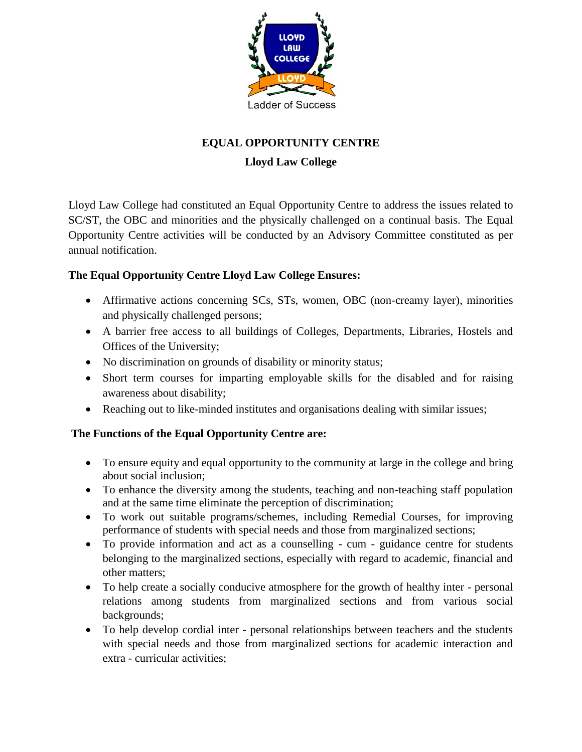

## **EQUAL OPPORTUNITY CENTRE**

## **Lloyd Law College**

Lloyd Law College had constituted an Equal Opportunity Centre to address the issues related to SC/ST, the OBC and minorities and the physically challenged on a continual basis. The Equal Opportunity Centre activities will be conducted by an Advisory Committee constituted as per annual notification.

## **The Equal Opportunity Centre Lloyd Law College Ensures:**

- Affirmative actions concerning SCs, STs, women, OBC (non-creamy layer), minorities and physically challenged persons;
- A barrier free access to all buildings of Colleges, Departments, Libraries, Hostels and Offices of the University;
- No discrimination on grounds of disability or minority status;
- Short term courses for imparting employable skills for the disabled and for raising awareness about disability;
- Reaching out to like-minded institutes and organisations dealing with similar issues;

## **The Functions of the Equal Opportunity Centre are:**

- To ensure equity and equal opportunity to the community at large in the college and bring about social inclusion;
- To enhance the diversity among the students, teaching and non-teaching staff population and at the same time eliminate the perception of discrimination;
- To work out suitable programs/schemes, including Remedial Courses, for improving performance of students with special needs and those from marginalized sections;
- To provide information and act as a counselling cum guidance centre for students belonging to the marginalized sections, especially with regard to academic, financial and other matters;
- To help create a socially conducive atmosphere for the growth of healthy inter personal relations among students from marginalized sections and from various social backgrounds;
- To help develop cordial inter personal relationships between teachers and the students with special needs and those from marginalized sections for academic interaction and extra - curricular activities;